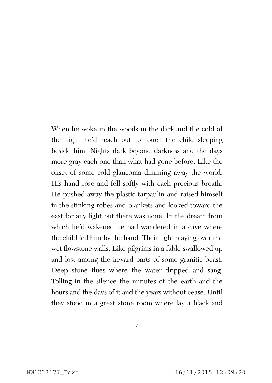When he woke in the woods in the dark and the cold of the night he'd reach out to touch the child sleeping beside him. Nights dark beyond darkness and the days more gray each one than what had gone before. Like the onset of some cold glaucoma dimming away the world. His hand rose and fell softly with each precious breath. He pushed away the plastic tarpaulin and raised himself in the stinking robes and blankets and looked toward the east for any light but there was none. In the dream from which he'd wakened he had wandered in a cave where the child led him by the hand. Their light playing over the wet flowstone walls. Like pilgrims in a fable swallowed up and lost among the inward parts of some granitic beast. Deep stone flues where the water dripped and sang. Tolling in the silence the minutes of the earth and the hours and the days of it and the years without cease. Until they stood in a great stone room where lay a black and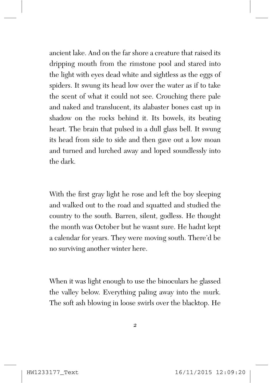ancient lake. And on the far shore a creature that raised its dripping mouth from the rimstone pool and stared into the light with eyes dead white and sightless as the eggs of spiders. It swung its head low over the water as if to take the scent of what it could not see. Crouching there pale and naked and translucent, its alabaster bones cast up in shadow on the rocks behind it. Its bowels, its beating heart. The brain that pulsed in a dull glass bell. It swung its head from side to side and then gave out a low moan and turned and lurched away and loped soundlessly into the dark.

With the first gray light he rose and left the boy sleeping and walked out to the road and squatted and studied the country to the south. Barren, silent, godless. He thought the month was October but he wasnt sure. He hadnt kept a calendar for years. They were moving south. There'd be no surviving another winter here.

When it was light enough to use the binoculars he glassed the valley below. Everything paling away into the murk. The soft ash blowing in loose swirls over the blacktop. He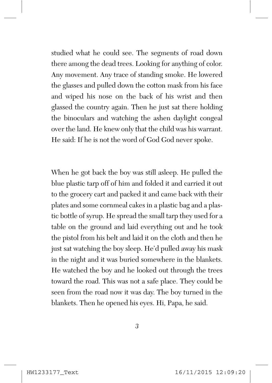studied what he could see. The segments of road down there among the dead trees. Looking for anything of color. Any movement. Any trace of standing smoke. He lowered the glasses and pulled down the cotton mask from his face and wiped his nose on the back of his wrist and then glassed the country again. Then he just sat there holding the binoculars and watching the ashen daylight congeal over the land. He knew only that the child was his warrant. He said: If he is not the word of God God never spoke.

When he got back the boy was still asleep. He pulled the blue plastic tarp off of him and folded it and carried it out to the grocery cart and packed it and came back with their plates and some cornmeal cakes in a plastic bag and a plastic bottle of syrup. He spread the small tarp they used for a table on the ground and laid everything out and he took the pistol from his belt and laid it on the cloth and then he just sat watching the boy sleep. He'd pulled away his mask in the night and it was buried somewhere in the blankets. He watched the boy and he looked out through the trees toward the road. This was not a safe place. They could be seen from the road now it was day. The boy turned in the blankets. Then he opened his eyes. Hi, Papa, he said.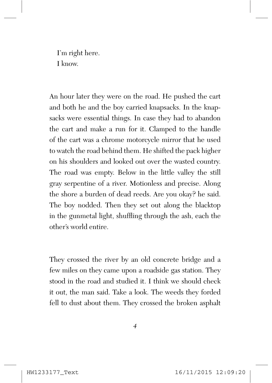I'm right here. I know.

An hour later they were on the road. He pushed the cart and both he and the boy carried knapsacks. In the knapsacks were essential things. In case they had to abandon the cart and make a run for it. Clamped to the handle of the cart was a chrome motorcycle mirror that he used to watch the road behind them. He shifted the pack higher on his shoulders and looked out over the wasted country. The road was empty. Below in the little valley the still gray serpentine of a river. Motionless and precise. Along the shore a burden of dead reeds. Are you okay? he said. The boy nodded. Then they set out along the blacktop in the gunmetal light, shuffling through the ash, each the other's world entire.

They crossed the river by an old concrete bridge and a few miles on they came upon a roadside gas station. They stood in the road and studied it. I think we should check it out, the man said. Take a look. The weeds they forded fell to dust about them. They crossed the broken asphalt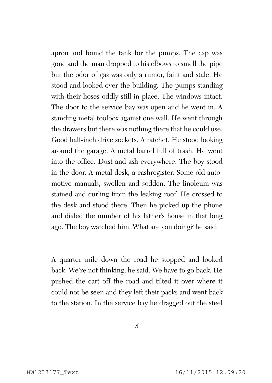apron and found the tank for the pumps. The cap was gone and the man dropped to his elbows to smell the pipe but the odor of gas was only a rumor, faint and stale. He stood and looked over the building. The pumps standing with their hoses oddly still in place. The windows intact. The door to the service bay was open and he went in. A standing metal toolbox against one wall. He went through the drawers but there was nothing there that he could use. Good half-inch drive sockets. A ratchet. He stood looking around the garage. A metal barrel full of trash. He went into the office. Dust and ash everywhere. The boy stood in the door. A metal desk, a cashregister. Some old automotive manuals, swollen and sodden. The linoleum was stained and curling from the leaking roof. He crossed to the desk and stood there. Then he picked up the phone and dialed the number of his father's house in that long ago. The boy watched him. What are you doing? he said.

A quarter mile down the road he stopped and looked back. We're not thinking, he said. We have to go back. He pushed the cart off the road and tilted it over where it could not be seen and they left their packs and went back to the station. In the service bay he dragged out the steel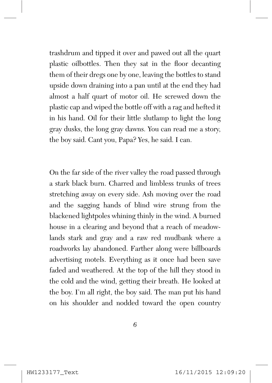trashdrum and tipped it over and pawed out all the quart plastic oilbottles. Then they sat in the floor decanting them of their dregs one by one, leaving the bottles to stand upside down draining into a pan until at the end they had almost a half quart of motor oil. He screwed down the plastic cap and wiped the bottle off with a rag and hefted it in his hand. Oil for their little slutlamp to light the long gray dusks, the long gray dawns. You can read me a story, the boy said. Cant you, Papa? Yes, he said. I can.

On the far side of the river valley the road passed through a stark black burn. Charred and limbless trunks of trees stretching away on every side. Ash moving over the road and the sagging hands of blind wire strung from the blackened lightpoles whining thinly in the wind. A burned house in a clearing and beyond that a reach of meadowlands stark and gray and a raw red mudbank where a roadworks lay abandoned. Farther along were billboards advertising motels. Everything as it once had been save faded and weathered. At the top of the hill they stood in the cold and the wind, getting their breath. He looked at the boy. I'm all right, the boy said. The man put his hand on his shoulder and nodded toward the open country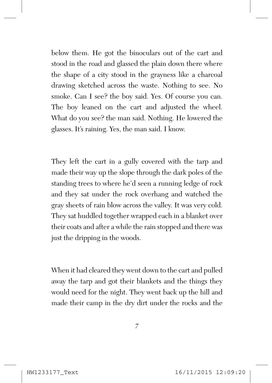below them. He got the binoculars out of the cart and stood in the road and glassed the plain down there where the shape of a city stood in the grayness like a charcoal drawing sketched across the waste. Nothing to see. No smoke. Can I see? the boy said. Yes. Of course you can. The boy leaned on the cart and adjusted the wheel. What do you see? the man said. Nothing. He lowered the glasses. It's raining. Yes, the man said. I know.

They left the cart in a gully covered with the tarp and made their way up the slope through the dark poles of the standing trees to where he'd seen a running ledge of rock and they sat under the rock overhang and watched the gray sheets of rain blow across the valley. It was very cold. They sat huddled together wrapped each in a blanket over their coats and after a while the rain stopped and there was just the dripping in the woods.

When it had cleared they went down to the cart and pulled away the tarp and got their blankets and the things they would need for the night. They went back up the hill and made their camp in the dry dirt under the rocks and the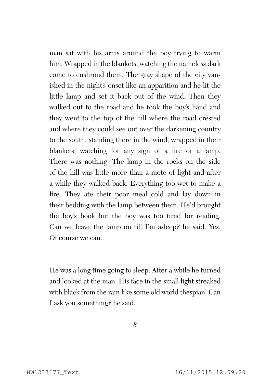man sat with his arms around the boy trying to warm him. Wrapped in the blankets, watching the nameless dark come to enshroud them. The gray shape of the city vanished in the night's onset like an apparition and he lit the little lamp and set it back out of the wind. Then they walked out to the road and he took the boy's hand and they went to the top of the hill where the road crested and where they could see out over the darkening country to the south, standing there in the wind, wrapped in their blankets, watching for any sign of a fire or a lamp. There was nothing. The lamp in the rocks on the side of the hill was little more than a mote of light and after a while they walked back. Everything too wet to make a fire. They ate their poor meal cold and lay down in their bedding with the lamp between them. He'd brought the boy's book but the boy was too tired for reading. Can we leave the lamp on till I'm asleep? he said. Yes. Of course we can.

He was a long time going to sleep. After a while he turned and looked at the man. His face in the small light streaked with black from the rain like some old world thespian. Can I ask you something? he said.